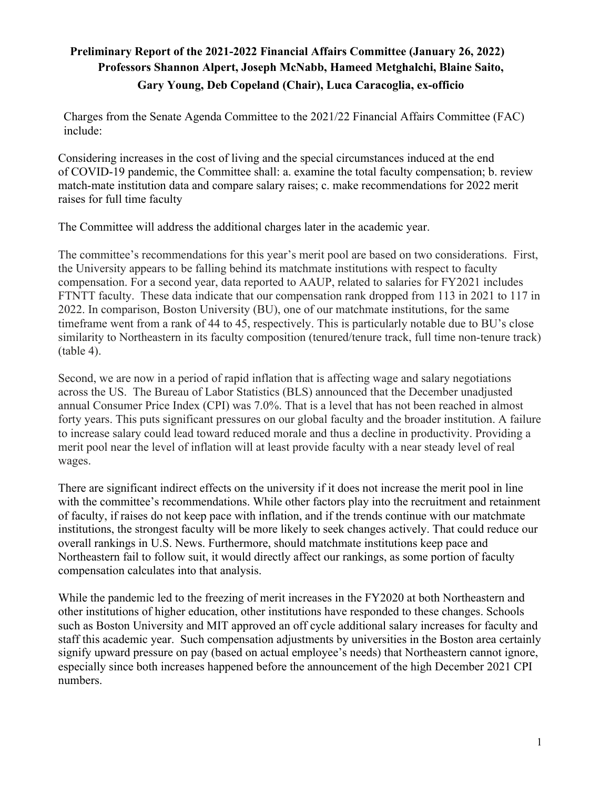## **Preliminary Report of the 2021-2022 Financial Affairs Committee (January 26, 2022) Professors Shannon Alpert, Joseph McNabb, Hameed Metghalchi, Blaine Saito, Gary Young, Deb Copeland (Chair), Luca Caracoglia, ex-officio**

Charges from the Senate Agenda Committee to the 2021/22 Financial Affairs Committee (FAC) include:

Considering increases in the cost of living and the special circumstances induced at the end of COVID-19 pandemic, the Committee shall: a. examine the total faculty compensation; b. review match-mate institution data and compare salary raises; c. make recommendations for 2022 merit raises for full time faculty

The Committee will address the additional charges later in the academic year.

The committee's recommendations for this year's merit pool are based on two considerations. First, the University appears to be falling behind its matchmate institutions with respect to faculty compensation. For a second year, data reported to AAUP, related to salaries for FY2021 includes FTNTT faculty. These data indicate that our compensation rank dropped from 113 in 2021 to 117 in 2022. In comparison, Boston University (BU), one of our matchmate institutions, for the same timeframe went from a rank of 44 to 45, respectively. This is particularly notable due to BU's close similarity to Northeastern in its faculty composition (tenured/tenure track, full time non-tenure track) (table 4).

Second, we are now in a period of rapid inflation that is affecting wage and salary negotiations across the US. The Bureau of Labor Statistics (BLS) announced that the December unadjusted annual Consumer Price Index (CPI) was 7.0%. That is a level that has not been reached in almost forty years. This puts significant pressures on our global faculty and the broader institution. A failure to increase salary could lead toward reduced morale and thus a decline in productivity. Providing a merit pool near the level of inflation will at least provide faculty with a near steady level of real wages.

There are significant indirect effects on the university if it does not increase the merit pool in line with the committee's recommendations. While other factors play into the recruitment and retainment of faculty, if raises do not keep pace with inflation, and if the trends continue with our matchmate institutions, the strongest faculty will be more likely to seek changes actively. That could reduce our overall rankings in U.S. News. Furthermore, should matchmate institutions keep pace and Northeastern fail to follow suit, it would directly affect our rankings, as some portion of faculty compensation calculates into that analysis.

While the pandemic led to the freezing of merit increases in the FY2020 at both Northeastern and other institutions of higher education, other institutions have responded to these changes. Schools such as Boston University and MIT approved an off cycle additional salary increases for faculty and staff this academic year. Such compensation adjustments by universities in the Boston area certainly signify upward pressure on pay (based on actual employee's needs) that Northeastern cannot ignore, especially since both increases happened before the announcement of the high December 2021 CPI numbers.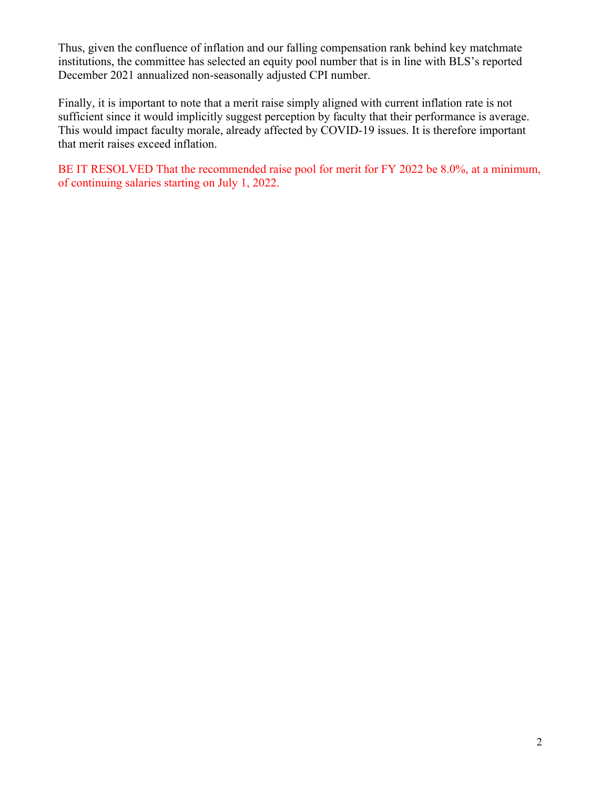Thus, given the confluence of inflation and our falling compensation rank behind key matchmate institutions, the committee has selected an equity pool number that is in line with BLS's reported December 2021 annualized non-seasonally adjusted CPI number.

Finally, it is important to note that a merit raise simply aligned with current inflation rate is not sufficient since it would implicitly suggest perception by faculty that their performance is average. This would impact faculty morale, already affected by COVID-19 issues. It is therefore important that merit raises exceed inflation.

BE IT RESOLVED That the recommended raise pool for merit for FY 2022 be 8.0%, at a minimum, of continuing salaries starting on July 1, 2022.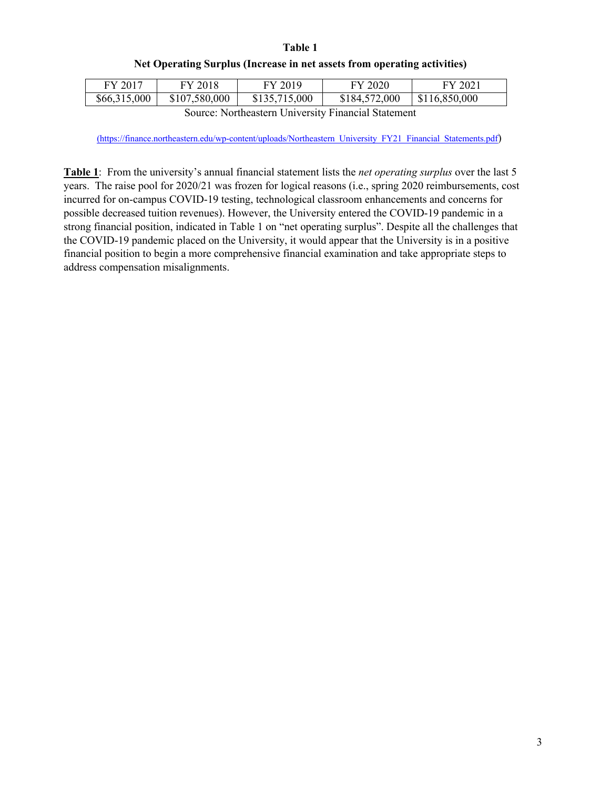## **Table 1 Net Operating Surplus (Increase in net assets from operating activities)**

| FY 2017                                             | FY 2018       | FY 2019       | FY 2020       | FY 2021       |  |  |  |  |  |  |
|-----------------------------------------------------|---------------|---------------|---------------|---------------|--|--|--|--|--|--|
| \$66,315,000                                        | \$107,580,000 | \$135,715,000 | \$184,572,000 | \$116,850,000 |  |  |  |  |  |  |
| Source: Northeastern University Financial Statement |               |               |               |               |  |  |  |  |  |  |

(https://finance.northeastern.edu/wp-content/uploads/Northeastern\_University\_FY21\_Financial\_Statements.pdf)

**Table 1**: From the university's annual financial statement lists the *net operating surplus* over the last 5 years. The raise pool for 2020/21 was frozen for logical reasons (i.e., spring 2020 reimbursements, cost incurred for on-campus COVID-19 testing, technological classroom enhancements and concerns for possible decreased tuition revenues). However, the University entered the COVID-19 pandemic in a strong financial position, indicated in Table 1 on "net operating surplus". Despite all the challenges that the COVID-19 pandemic placed on the University, it would appear that the University is in a positive financial position to begin a more comprehensive financial examination and take appropriate steps to address compensation misalignments.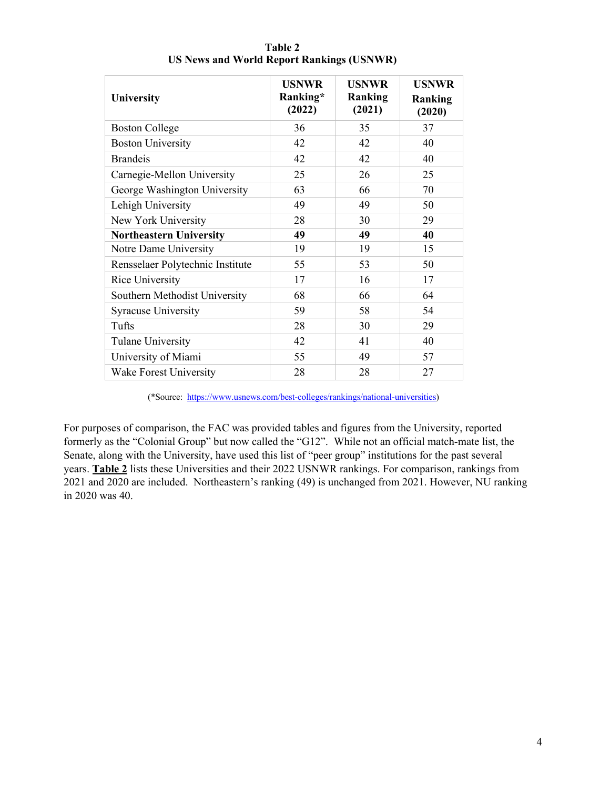| <b>University</b>                | <b>USNWR</b><br>Ranking*<br>(2022) | <b>USNWR</b><br>Ranking<br>(2021) | <b>USNWR</b><br>Ranking<br>(2020) |  |  |  |
|----------------------------------|------------------------------------|-----------------------------------|-----------------------------------|--|--|--|
| <b>Boston College</b>            | 36                                 | 35                                | 37                                |  |  |  |
| <b>Boston University</b>         | 42                                 | 42                                | 40                                |  |  |  |
| <b>Brandeis</b>                  | 42                                 | 42                                | 40                                |  |  |  |
| Carnegie-Mellon University       | 25                                 | 26                                | 25                                |  |  |  |
| George Washington University     | 63                                 | 66                                | 70                                |  |  |  |
| Lehigh University                | 49                                 | 49                                | 50                                |  |  |  |
| New York University              | 28                                 | 30                                | 29                                |  |  |  |
| <b>Northeastern University</b>   | 49                                 | 49                                | 40                                |  |  |  |
| Notre Dame University            | 19                                 | 19                                | 15                                |  |  |  |
| Rensselaer Polytechnic Institute | 55                                 | 53                                | 50                                |  |  |  |
| Rice University                  | 17                                 | 16                                | 17                                |  |  |  |
| Southern Methodist University    | 68                                 | 66                                | 64                                |  |  |  |
| <b>Syracuse University</b>       | 59                                 | 58                                | 54                                |  |  |  |
| Tufts                            | 28                                 | 30                                | 29                                |  |  |  |
| Tulane University                | 42                                 | 41                                | 40                                |  |  |  |
| University of Miami              | 55                                 | 49                                | 57                                |  |  |  |
| Wake Forest University           | 28                                 | 28                                | 27                                |  |  |  |

**Table 2 US News and World Report Rankings (USNWR)**

(\*Source: https://www.usnews.com/best-colleges/rankings/national-universities)

For purposes of comparison, the FAC was provided tables and figures from the University, reported formerly as the "Colonial Group" but now called the "G12". While not an official match-mate list, the Senate, along with the University, have used this list of "peer group" institutions for the past several years. **Table 2** lists these Universities and their 2022 USNWR rankings. For comparison, rankings from 2021 and 2020 are included. Northeastern's ranking (49) is unchanged from 2021. However, NU ranking in 2020 was 40.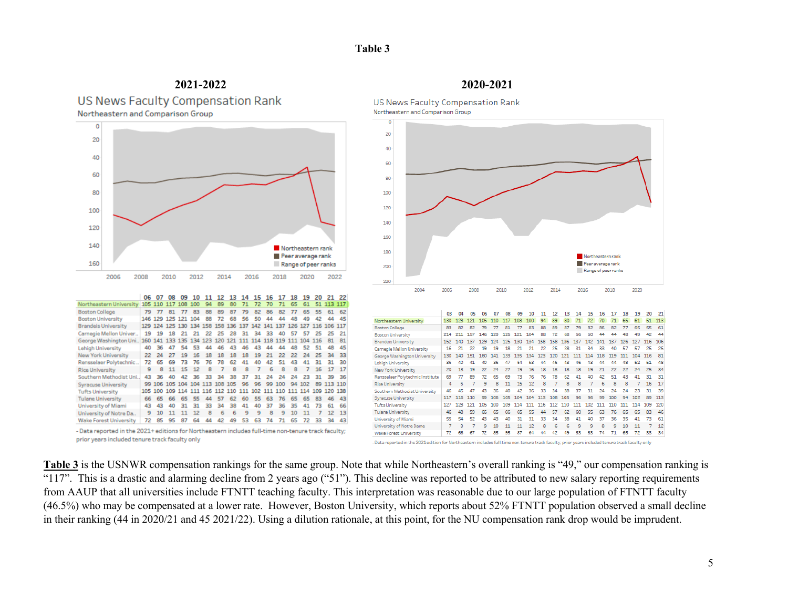## **Table 3**

**2021-2022 2020-2021** US News Faculty Compensation Rank Northeastern and Comparison Group



Rensselaer Polytechnic.. 72 65 69 73 76 76 78 62 41 40 42 51 43 41 31 31 30

Southern Methodist Uni., 43 36 40 42 36 33 34 38 37 31 24 24 24 23 31 39 36

Wake Forest University 72 85 95 87 64 44 42 49 53 63 74 71 65 72 33 34 43

- Data reported in the 2021+ editions for Northeastern includes full-time non-tenure track faculty;

**Rice University** 

**Tufts University** 

**Tulane University** 

University of Miami

University of Notre Da..

prior years included tenure track faculty only

**Syracuse University** 

9 8 11 15 12 8 7 8 8 7 6 8 8

99 106 105 104 104 113 108 105 96 96 99 100 94 102 89 113 110

105 100 109 114 111 116 112 110 111 102 111 110 111 114 109 120 138

66 65 66 65 55 44 57 62 60 55 63 76 65 65 83 46 43

43 43 40 31 31 33 34 38 41 40 37 36 35 41 73 61 66

9 10 11 11 12 8 6 6 9 9 8 9 10 11 7 12 13

US News Faculty Compensation Rank Northeastern and Comparison Group



**Table 3** is the USNWR compensation rankings for the same group. Note that while Northeastern's overall ranking is "49," our compensation ranking is "117". This is a drastic and alarming decline from 2 years ago ("51"). This decline was reported to be attributed to new salary reporting requirements from AAUP that all universities include FTNTT teaching faculty. This interpretation was reasonable due to our large population of FTNTT faculty (46.5%) who may be compensated at a lower rate. However, Boston University, which reports about 52% FTNTT population observed a small decline in their ranking (44 in 2020/21 and 45 2021/22). Using a dilution rationale, at this point, for the NU compensation rank drop would be imprudent.

7 16 17 17